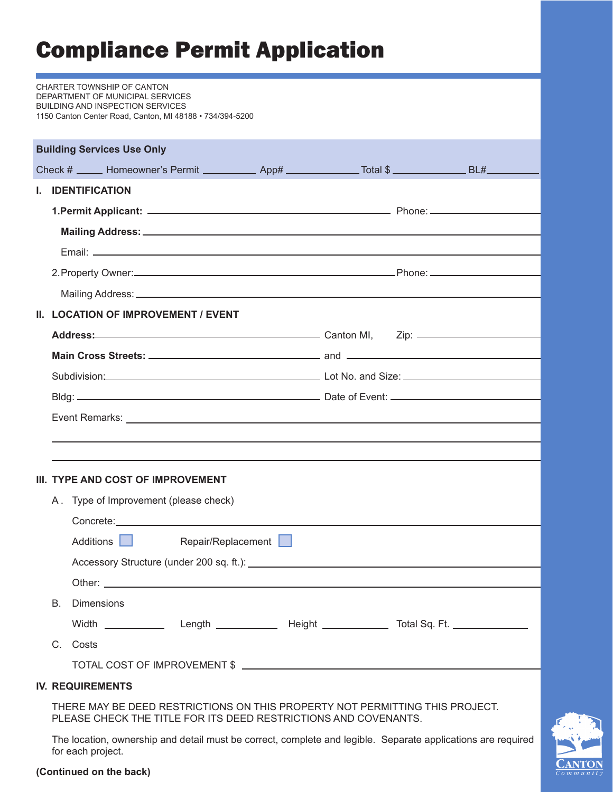## Compliance Permit Application

|  |    | CHARTER TOWNSHIP OF CANTON<br>DEPARTMENT OF MUNICIPAL SERVICES<br><b>BUILDING AND INSPECTION SERVICES</b><br>1150 Canton Center Road, Canton, MI 48188 • 734/394-5200                                                          |                    |  |  |  |  |
|--|----|--------------------------------------------------------------------------------------------------------------------------------------------------------------------------------------------------------------------------------|--------------------|--|--|--|--|
|  |    | <b>Building Services Use Only</b>                                                                                                                                                                                              |                    |  |  |  |  |
|  |    | Check # _____ Homeowner's Permit __________ App# _____________ Total \$ _____________ BL#________                                                                                                                              |                    |  |  |  |  |
|  |    | I. IDENTIFICATION                                                                                                                                                                                                              |                    |  |  |  |  |
|  |    |                                                                                                                                                                                                                                |                    |  |  |  |  |
|  |    |                                                                                                                                                                                                                                |                    |  |  |  |  |
|  |    |                                                                                                                                                                                                                                |                    |  |  |  |  |
|  |    |                                                                                                                                                                                                                                |                    |  |  |  |  |
|  |    | Mailing Address: Mailing Address: Mail and Mailing Address: Mail and Mail and Mail and Mail and Mail and Mail                                                                                                                  |                    |  |  |  |  |
|  |    | II. LOCATION OF IMPROVEMENT / EVENT                                                                                                                                                                                            |                    |  |  |  |  |
|  |    | Address: Canton MI, Zip: 2012                                                                                                                                                                                                  |                    |  |  |  |  |
|  |    |                                                                                                                                                                                                                                |                    |  |  |  |  |
|  |    |                                                                                                                                                                                                                                |                    |  |  |  |  |
|  |    |                                                                                                                                                                                                                                |                    |  |  |  |  |
|  |    |                                                                                                                                                                                                                                |                    |  |  |  |  |
|  |    |                                                                                                                                                                                                                                |                    |  |  |  |  |
|  |    |                                                                                                                                                                                                                                |                    |  |  |  |  |
|  |    | III. TYPE AND COST OF IMPROVEMENT                                                                                                                                                                                              |                    |  |  |  |  |
|  |    | A. Type of Improvement (please check)                                                                                                                                                                                          |                    |  |  |  |  |
|  |    | Concrete: experience and the concrete of the control of the control of the control of the control of the control of the control of the control of the control of the control of the control of the control of the control of t |                    |  |  |  |  |
|  |    | Additions                                                                                                                                                                                                                      | Repair/Replacement |  |  |  |  |
|  |    |                                                                                                                                                                                                                                |                    |  |  |  |  |
|  |    |                                                                                                                                                                                                                                |                    |  |  |  |  |
|  | В. | <b>Dimensions</b>                                                                                                                                                                                                              |                    |  |  |  |  |
|  |    |                                                                                                                                                                                                                                |                    |  |  |  |  |
|  |    | C. Costs                                                                                                                                                                                                                       |                    |  |  |  |  |
|  |    |                                                                                                                                                                                                                                |                    |  |  |  |  |
|  |    | <b>IV. REQUIREMENTS</b>                                                                                                                                                                                                        |                    |  |  |  |  |
|  |    | THERE MAY BE DEED RESTRICTIONS ON THIS PROPERTY NOT PERMITTING THIS PROJECT.<br>PLEASE CHECK THE TITLE FOR ITS DEED RESTRICTIONS AND COVENANTS.                                                                                |                    |  |  |  |  |

 The location, ownership and detail must be correct, complete and legible. Separate applications are required for each project.



## **(Continued on the back)**